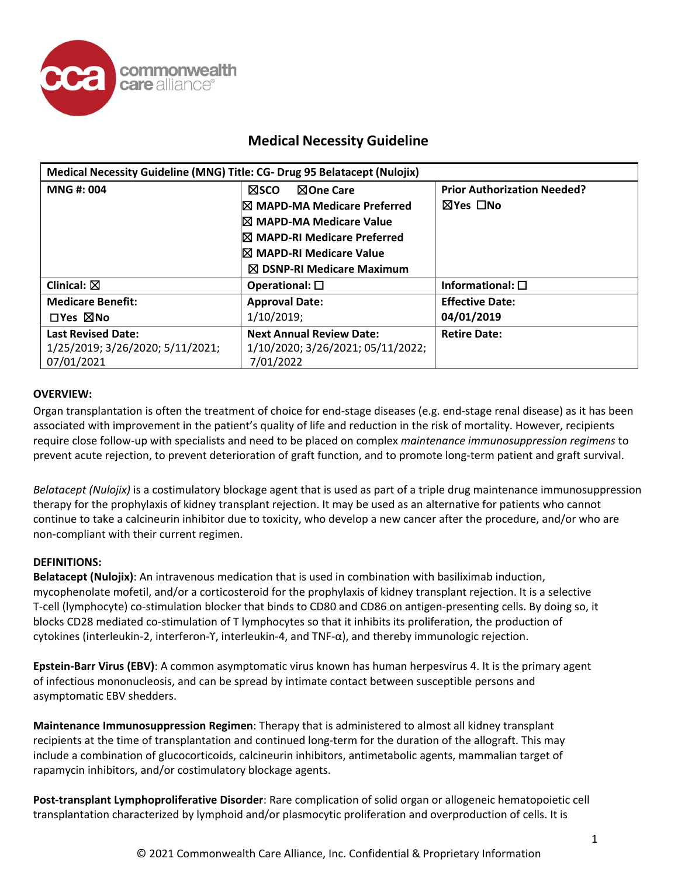

| Medical Necessity Guideline (MNG) Title: CG- Drug 95 Belatacept (Nulojix) |                                      |                                    |
|---------------------------------------------------------------------------|--------------------------------------|------------------------------------|
| <b>MNG#: 004</b>                                                          | <b>NSCO</b><br>⊠One Care             | <b>Prior Authorization Needed?</b> |
|                                                                           | <b>IX MAPD-MA Medicare Preferred</b> | ⊠Yes □No                           |
|                                                                           | I⊠ MAPD-MA Medicare Value            |                                    |
|                                                                           | <b>IX MAPD-RI Medicare Preferred</b> |                                    |
|                                                                           | I⊠ MAPD-RI Medicare Value            |                                    |
|                                                                           | $\boxtimes$ DSNP-RI Medicare Maximum |                                    |
| Clinical: $\boxtimes$                                                     | Operational: $\square$               | Informational: $\square$           |
| <b>Medicare Benefit:</b>                                                  | <b>Approval Date:</b>                | <b>Effective Date:</b>             |
| $\Box$ Yes $\boxtimes$ No                                                 | 1/10/2019;                           | 04/01/2019                         |
| <b>Last Revised Date:</b>                                                 | <b>Next Annual Review Date:</b>      | <b>Retire Date:</b>                |
| 1/25/2019; 3/26/2020; 5/11/2021;                                          | 1/10/2020; 3/26/2021; 05/11/2022;    |                                    |
| 07/01/2021                                                                | 7/01/2022                            |                                    |

#### **OVERVIEW:**

Organ transplantation is often the treatment of choice for end-stage diseases (e.g. end-stage renal disease) as it has been associated with improvement in the patient's quality of life and reduction in the risk of mortality. However, recipients require close follow-up with specialists and need to be placed on complex *maintenance immunosuppression regimens* to prevent acute rejection, to prevent deterioration of graft function, and to promote long-term patient and graft survival.

*Belatacept (Nulojix)* is a costimulatory blockage agent that is used as part of a triple drug maintenance immunosuppression therapy for the prophylaxis of kidney transplant rejection. It may be used as an alternative for patients who cannot continue to take a calcineurin inhibitor due to toxicity, who develop a new cancer after the procedure, and/or who are non-compliant with their current regimen.

#### **DEFINITIONS:**

**Belatacept (Nulojix)**: An intravenous medication that is used in combination with basiliximab induction, mycophenolate mofetil, and/or a corticosteroid for the prophylaxis of kidney transplant rejection. It is a selective T-cell (lymphocyte) co-stimulation blocker that binds to CD80 and CD86 on antigen-presenting cells. By doing so, it blocks CD28 mediated co-stimulation of T lymphocytes so that it inhibits its proliferation, the production of cytokines (interleukin-2, interferon-ϒ, interleukin-4, and TNF-α), and thereby immunologic rejection.

**Epstein-Barr Virus (EBV)**: A common asymptomatic virus known has human herpesvirus 4. It is the primary agent of infectious mononucleosis, and can be spread by intimate contact between susceptible persons and asymptomatic EBV shedders.

**Maintenance Immunosuppression Regimen**: Therapy that is administered to almost all kidney transplant recipients at the time of transplantation and continued long-term for the duration of the allograft. This may include a combination of glucocorticoids, calcineurin inhibitors, antimetabolic agents, mammalian target of rapamycin inhibitors, and/or costimulatory blockage agents.

**Post-transplant Lymphoproliferative Disorder**: Rare complication of solid organ or allogeneic hematopoietic cell transplantation characterized by lymphoid and/or plasmocytic proliferation and overproduction of cells. It is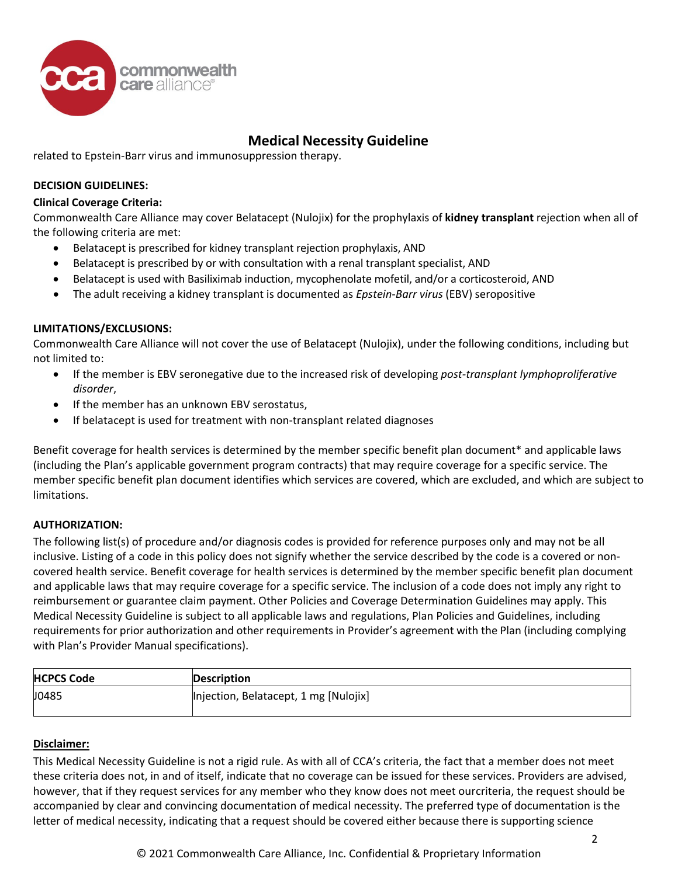

related to Epstein-Barr virus and immunosuppression therapy.

### **DECISION GUIDELINES:**

#### **Clinical Coverage Criteria:**

Commonwealth Care Alliance may cover Belatacept (Nulojix) for the prophylaxis of **kidney transplant** rejection when all of the following criteria are met:

- Belatacept is prescribed for kidney transplant rejection prophylaxis, AND
- Belatacept is prescribed by or with consultation with a renal transplant specialist, AND
- Belatacept is used with Basiliximab induction, mycophenolate mofetil, and/or a corticosteroid, AND
- The adult receiving a kidney transplant is documented as *Epstein-Barr virus* (EBV) seropositive

#### **LIMITATIONS/EXCLUSIONS:**

Commonwealth Care Alliance will not cover the use of Belatacept (Nulojix), under the following conditions, including but not limited to:

- If the member is EBV seronegative due to the increased risk of developing *post-transplant lymphoproliferative disorder*,
- If the member has an unknown EBV serostatus,
- If belatacept is used for treatment with non-transplant related diagnoses

Benefit coverage for health services is determined by the member specific benefit plan document\* and applicable laws (including the Plan's applicable government program contracts) that may require coverage for a specific service. The member specific benefit plan document identifies which services are covered, which are excluded, and which are subject to limitations.

#### **AUTHORIZATION:**

The following list(s) of procedure and/or diagnosis codes is provided for reference purposes only and may not be all inclusive. Listing of a code in this policy does not signify whether the service described by the code is a covered or noncovered health service. Benefit coverage for health services is determined by the member specific benefit plan document and applicable laws that may require coverage for a specific service. The inclusion of a code does not imply any right to reimbursement or guarantee claim payment. Other Policies and Coverage Determination Guidelines may apply. This Medical Necessity Guideline is subject to all applicable laws and regulations, Plan Policies and Guidelines, including requirements for prior authorization and other requirements in Provider's agreement with the Plan (including complying with Plan's Provider Manual specifications).

| Injection, Belatacept, 1 mg [Nulojix] |
|---------------------------------------|
|                                       |

#### **Disclaimer:**

This Medical Necessity Guideline is not a rigid rule. As with all of CCA's criteria, the fact that a member does not meet these criteria does not, in and of itself, indicate that no coverage can be issued for these services. Providers are advised, however, that if they request services for any member who they know does not meet ourcriteria, the request should be accompanied by clear and convincing documentation of medical necessity. The preferred type of documentation is the letter of medical necessity, indicating that a request should be covered either because there is supporting science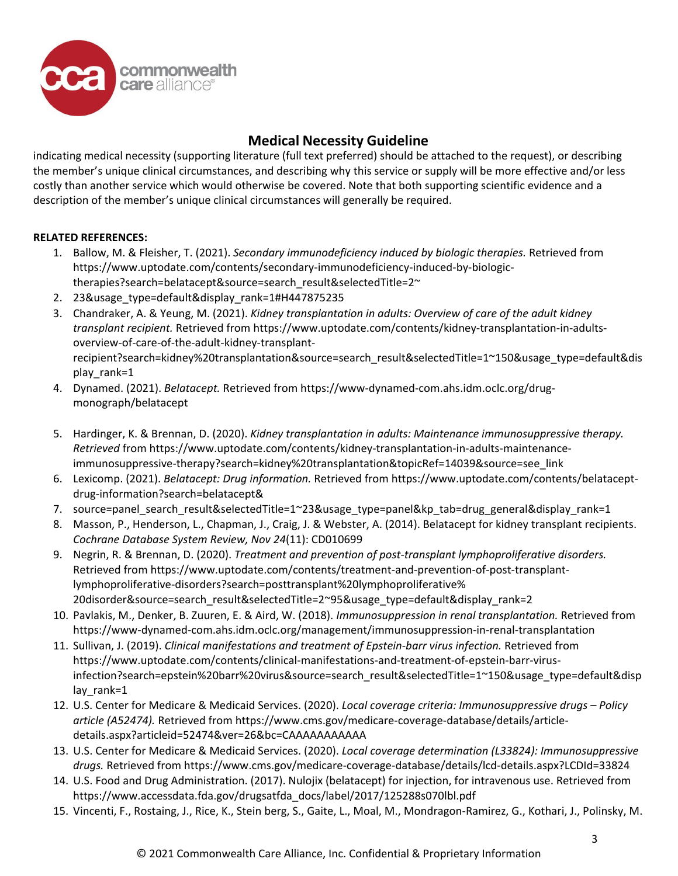

indicating medical necessity (supporting literature (full text preferred) should be attached to the request), or describing the member's unique clinical circumstances, and describing why this service or supply will be more effective and/or less costly than another service which would otherwise be covered. Note that both supporting scientific evidence and a description of the member's unique clinical circumstances will generally be required.

### **RELATED REFERENCES:**

- 1. Ballow, M. & Fleisher, T. (2021). *Secondary immunodeficiency induced by biologic therapies.* Retrieved from https://www.uptodate.com/contents/secondary-immunodeficiency-induced-by-biologictherapies?search=belatacept&source=search\_result&selectedTitle=2~
- 2. 23&usage\_type=default&display\_rank=1#H447875235
- 3. Chandraker, A. & Yeung, M. (2021). *Kidney transplantation in adults: Overview of care of the adult kidney transplant recipient.* Retrieved from https://www.uptodate.com/contents/kidney-transplantation-in-adultsoverview-of-care-of-the-adult-kidney-transplantrecipient?search=kidney%20transplantation&source=search\_result&selectedTitle=1~150&usage\_type=default&dis play rank=1
- 4. Dynamed. (2021). *Belatacept.* Retrieved from https://www-dynamed-com.ahs.idm.oclc.org/drugmonograph/belatacept
- 5. Hardinger, K. & Brennan, D. (2020). *Kidney transplantation in adults: Maintenance immunosuppressive therapy. Retrieved* from https://www.uptodate.com/contents/kidney-transplantation-in-adults-maintenanceimmunosuppressive-therapy?search=kidney%20transplantation&topicRef=14039&source=see\_link
- 6. Lexicomp. (2021). *Belatacept: Drug information.* Retrieved from https://www.uptodate.com/contents/belataceptdrug-information?search=belatacept&
- 7. source=panel search result&selectedTitle=1~23&usage type=panel&kp tab=drug general&display rank=1
- 8. Masson, P., Henderson, L., Chapman, J., Craig, J. & Webster, A. (2014). Belatacept for kidney transplant recipients. *Cochrane Database System Review, Nov 24*(11): CD010699
- 9. Negrin, R. & Brennan, D. (2020). *Treatment and prevention of post-transplant lymphoproliferative disorders.* Retrieved from https://www.uptodate.com/contents/treatment-and-prevention-of-post-transplantlymphoproliferative-disorders?search=posttransplant%20lymphoproliferative% 20disorder&source=search\_result&selectedTitle=2~95&usage\_type=default&display\_rank=2
- 10. Pavlakis, M., Denker, B. Zuuren, E. & Aird, W. (2018). *Immunosuppression in renal transplantation.* Retrieved from https://www-dynamed-com.ahs.idm.oclc.org/management/immunosuppression-in-renal-transplantation
- 11. Sullivan, J. (2019). *Clinical manifestations and treatment of Epstein-barr virus infection.* Retrieved from https://www.uptodate.com/contents/clinical-manifestations-and-treatment-of-epstein-barr-virusinfection?search=epstein%20barr%20virus&source=search\_result&selectedTitle=1~150&usage\_type=default&disp lay rank=1
- 12. U.S. Center for Medicare & Medicaid Services. (2020). *Local coverage criteria: Immunosuppressive drugs – Policy article (A52474).* Retrieved from https://www.cms.gov/medicare-coverage-database/details/articledetails.aspx?articleid=52474&ver=26&bc=CAAAAAAAAAAA
- 13. U.S. Center for Medicare & Medicaid Services. (2020). *Local coverage determination (L33824): Immunosuppressive drugs.* Retrieved from https://www.cms.gov/medicare-coverage-database/details/lcd-details.aspx?LCDId=33824
- 14. U.S. Food and Drug Administration. (2017). Nulojix (belatacept) for injection, for intravenous use. Retrieved from https://www.accessdata.fda.gov/drugsatfda\_docs/label/2017/125288s070lbl.pdf
- 15. Vincenti, F., Rostaing, J., Rice, K., Stein berg, S., Gaite, L., Moal, M., Mondragon-Ramirez, G., Kothari, J., Polinsky, M.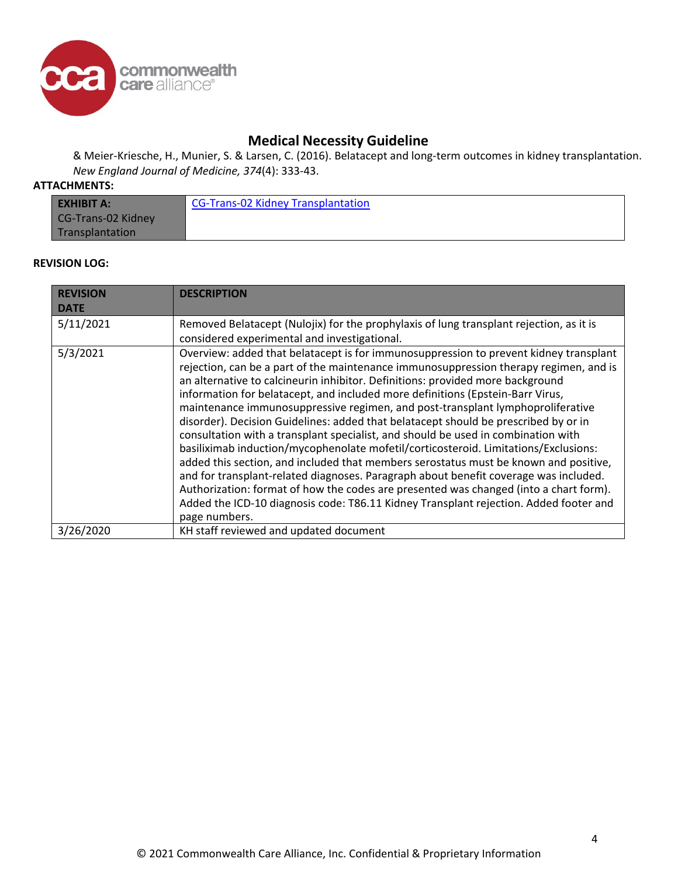

& Meier-Kriesche, H., Munier, S. & Larsen, C. (2016). Belatacept and long-term outcomes in kidney transplantation. *New England Journal of Medicine, 374*(4): 333-43.

### **ATTACHMENTS:**

| <b>EXHIBIT A:</b>  | CG-Trans-02 Kidney Transplantation |
|--------------------|------------------------------------|
| CG-Trans-02 Kidney |                                    |
| Transplantation    |                                    |

#### **REVISION LOG:**

| <b>REVISION</b> | <b>DESCRIPTION</b>                                                                                                                                                                                                                                                                                                                                                                                                                                                                                                                                                                                                                                                                                                                                                                                                                                                                                                                                                                                                                                                        |
|-----------------|---------------------------------------------------------------------------------------------------------------------------------------------------------------------------------------------------------------------------------------------------------------------------------------------------------------------------------------------------------------------------------------------------------------------------------------------------------------------------------------------------------------------------------------------------------------------------------------------------------------------------------------------------------------------------------------------------------------------------------------------------------------------------------------------------------------------------------------------------------------------------------------------------------------------------------------------------------------------------------------------------------------------------------------------------------------------------|
| <b>DATE</b>     |                                                                                                                                                                                                                                                                                                                                                                                                                                                                                                                                                                                                                                                                                                                                                                                                                                                                                                                                                                                                                                                                           |
| 5/11/2021       | Removed Belatacept (Nulojix) for the prophylaxis of lung transplant rejection, as it is                                                                                                                                                                                                                                                                                                                                                                                                                                                                                                                                                                                                                                                                                                                                                                                                                                                                                                                                                                                   |
|                 | considered experimental and investigational.                                                                                                                                                                                                                                                                                                                                                                                                                                                                                                                                                                                                                                                                                                                                                                                                                                                                                                                                                                                                                              |
| 5/3/2021        | Overview: added that belatacept is for immunosuppression to prevent kidney transplant<br>rejection, can be a part of the maintenance immunosuppression therapy regimen, and is<br>an alternative to calcineurin inhibitor. Definitions: provided more background<br>information for belatacept, and included more definitions (Epstein-Barr Virus,<br>maintenance immunosuppressive regimen, and post-transplant lymphoproliferative<br>disorder). Decision Guidelines: added that belatacept should be prescribed by or in<br>consultation with a transplant specialist, and should be used in combination with<br>basiliximab induction/mycophenolate mofetil/corticosteroid. Limitations/Exclusions:<br>added this section, and included that members serostatus must be known and positive,<br>and for transplant-related diagnoses. Paragraph about benefit coverage was included.<br>Authorization: format of how the codes are presented was changed (into a chart form).<br>Added the ICD-10 diagnosis code: T86.11 Kidney Transplant rejection. Added footer and |
| 3/26/2020       | page numbers.<br>KH staff reviewed and updated document                                                                                                                                                                                                                                                                                                                                                                                                                                                                                                                                                                                                                                                                                                                                                                                                                                                                                                                                                                                                                   |
|                 |                                                                                                                                                                                                                                                                                                                                                                                                                                                                                                                                                                                                                                                                                                                                                                                                                                                                                                                                                                                                                                                                           |